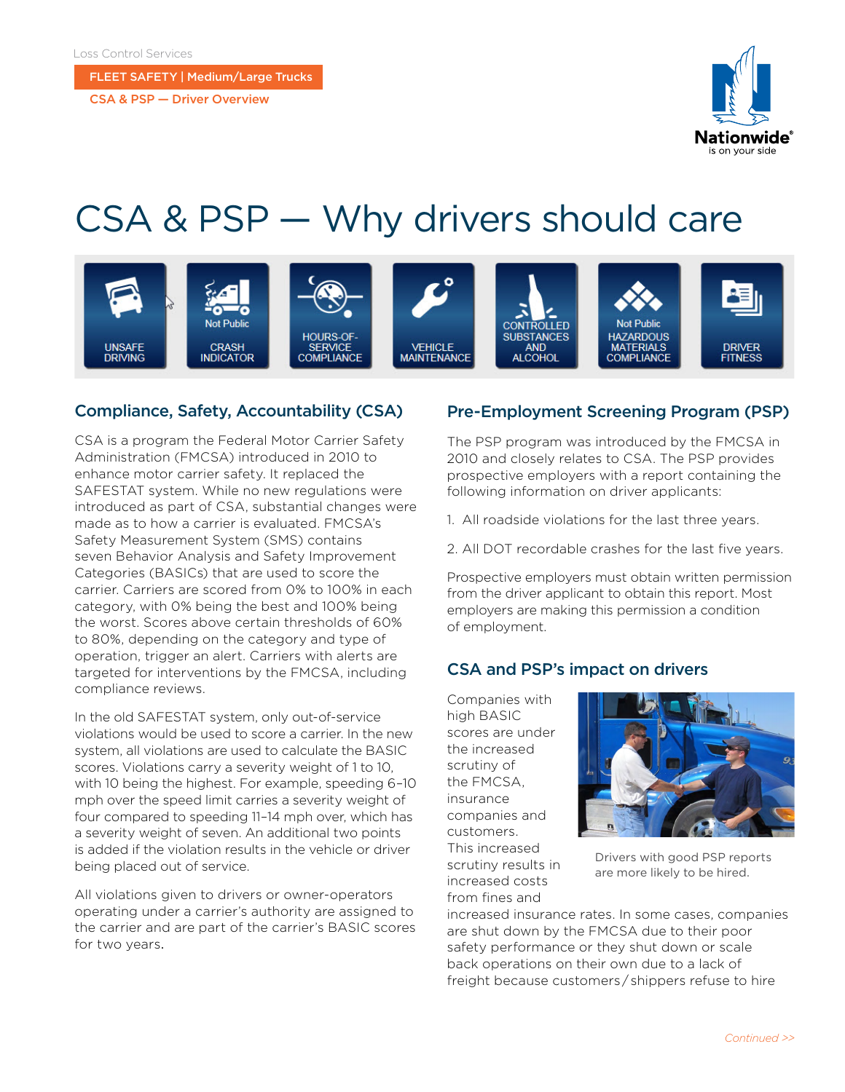#### FLEET SAFETY | Medium/Large Trucks

CSA & PSP — Driver Overview



# CSA & PSP — Why drivers should care



#### Compliance, Safety, Accountability (CSA)

CSA is a program the Federal Motor Carrier Safety Administration (FMCSA) introduced in 2010 to enhance motor carrier safety. It replaced the SAFESTAT system. While no new regulations were introduced as part of CSA, substantial changes were made as to how a carrier is evaluated. FMCSA's Safety Measurement System (SMS) contains seven Behavior Analysis and Safety Improvement Categories (BASICs) that are used to score the carrier. Carriers are scored from 0% to 100% in each category, with 0% being the best and 100% being the worst. Scores above certain thresholds of 60% to 80%, depending on the category and type of operation, trigger an alert. Carriers with alerts are targeted for interventions by the FMCSA, including compliance reviews.

In the old SAFESTAT system, only out-of-service violations would be used to score a carrier. In the new system, all violations are used to calculate the BASIC scores. Violations carry a severity weight of 1 to 10, with 10 being the highest. For example, speeding 6–10 mph over the speed limit carries a severity weight of four compared to speeding 11–14 mph over, which has a severity weight of seven. An additional two points is added if the violation results in the vehicle or driver being placed out of service.

All violations given to drivers or owner-operators operating under a carrier's authority are assigned to the carrier and are part of the carrier's BASIC scores for two years.

#### Pre-Employment Screening Program (PSP)

The PSP program was introduced by the FMCSA in 2010 and closely relates to CSA. The PSP provides prospective employers with a report containing the following information on driver applicants:

- 1. All roadside violations for the last three years.
- 2. All DOT recordable crashes for the last five years.

Prospective employers must obtain written permission from the driver applicant to obtain this report. Most employers are making this permission a condition of employment.

### CSA and PSP's impact on drivers

Companies with high BASIC scores are under the increased scrutiny of the FMCSA, insurance companies and customers. This increased scrutiny results in increased costs from fines and



Drivers with good PSP reports are more likely to be hired.

increased insurance rates. In some cases, companies are shut down by the FMCSA due to their poor safety performance or they shut down or scale back operations on their own due to a lack of freight because customers / shippers refuse to hire